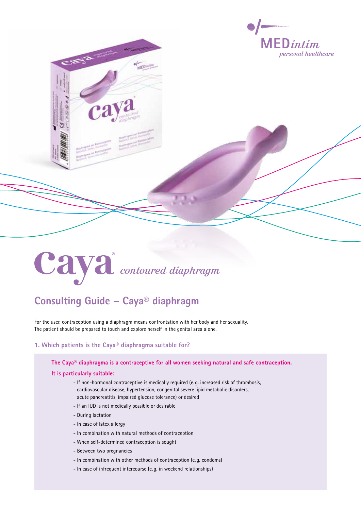

# Caya<sup>®</sup> contoured diaphragm

# **Consulting Guide – Caya® diaphragm**

For the user, contraception using a diaphragm means confrontation with her body and her sexuality. The patient should be prepared to touch and explore herself in the genital area alone.

o/

## **1. Which patients is the Caya® diaphragma suitable for?**

**The Caya® diaphragma is a contraceptive for all women seeking natural and safe contraception.** 

#### **It is particularly suitable:**

- If non-hormonal contraceptive is medically required (e. g. increased risk of thrombosis, cardiovascular disease, hypertension, congenital severe lipid metabolic disorders, acute pancreatitis, impaired glucose tolerance) or desired
- If an IUD is not medically possible or desirable
- During lactation
- In case of latex allergy
- In combination with natural methods of contraception
- When self-determined contraception is sought
- Between two pregnancies
- In combination with other methods of contraception (e. g. condoms)
- In case of infrequent intercourse (e. g. in weekend relationships)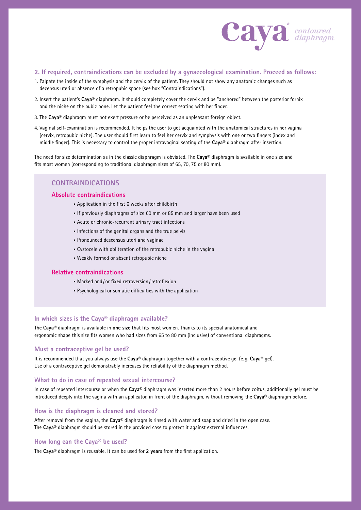

### **2. If required, contraindications can be excluded by a gynaecological examination. Proceed as follows:**

- 1. Palpate the inside of the symphysis and the cervix of the patient. They should not show any anatomic changes such as decensus uteri or absence of a retropubic space (see box "Contraindications").
- 2. Insert the patient's **Caya®** diaphragm. It should completely cover the cervix and be "anchored" between the posterior fornix and the niche on the pubic bone. Let the patient feel the correct seating with her finger.
- 3. The **Caya®** diaphragm must not exert pressure or be perceived as an unpleasant foreign object.
- 4. Vaginal self-examination is recommended. It helps the user to get acquainted with the anatomical structures in her vagina (cervix, retropubic niche). The user should first learn to feel her cervix and symphysis with one or two fingers (index and middle finger). This is necessary to control the proper intravaginal seating of the **Caya®** diaphragm after insertion.

The need for size determination as in the classic diaphragm is obviated. The **Caya®** diaphragm is available in one size and fits most women (corresponding to traditional diaphragm sizes of 65, 70, 75 or 80 mm).

## **Contraindications**

#### **Absolute contraindications**

- Application in the first 6 weeks after childbirth
- If previously diaphragms of size 60 mm or 85 mm and larger have been used
- Acute or chronic-recurrent urinary tract infections
- Infections of the genital organs and the true pelvis
- Pronounced descensus uteri and vaginae
- Cystocele with obliteration of the retropubic niche in the vagina
- Weakly formed or absent retropubic niche

#### **Relative contraindications**

- Marked and / or fixed retroversion/retroflexion
- Psychological or somatic difficulties with the application

#### **In which sizes is the Caya® diaphragm available?**

The **Caya®** diaphragm is available in **one size** that fits most women. Thanks to its special anatomical and ergonomic shape this size fits women who had sizes from 65 to 80 mm (inclusive) of conventional diaphragms.

#### **Must a contraceptive gel be used?**

It is recommended that you always use the **Caya®** diaphragm together with a contraceptive gel (e. g. **Caya®** gel). Use of a contraceptive gel demonstrably increases the reliability of the diaphragm method.

#### **What to do in case of repeated sexual intercourse?**

In case of repeated intercourse or when the **Caya®** diaphragm was inserted more than 2 hours before coitus, additionally gel must be introduced deeply into the vagina with an applicator, in front of the diaphragm, without removing the **Caya®** diaphragm before.

#### **How is the diaphragm is cleaned and stored?**

After removal from the vagina, the **Caya®** diaphragm is rinsed with water and soap and dried in the open case. The **Caya®** diaphragm should be stored in the provided case to protect it against external influences.

#### **How long can the Caya® be used?**

The **Caya®** diaphragm is reusable. It can be used for **2 years** from the first application.